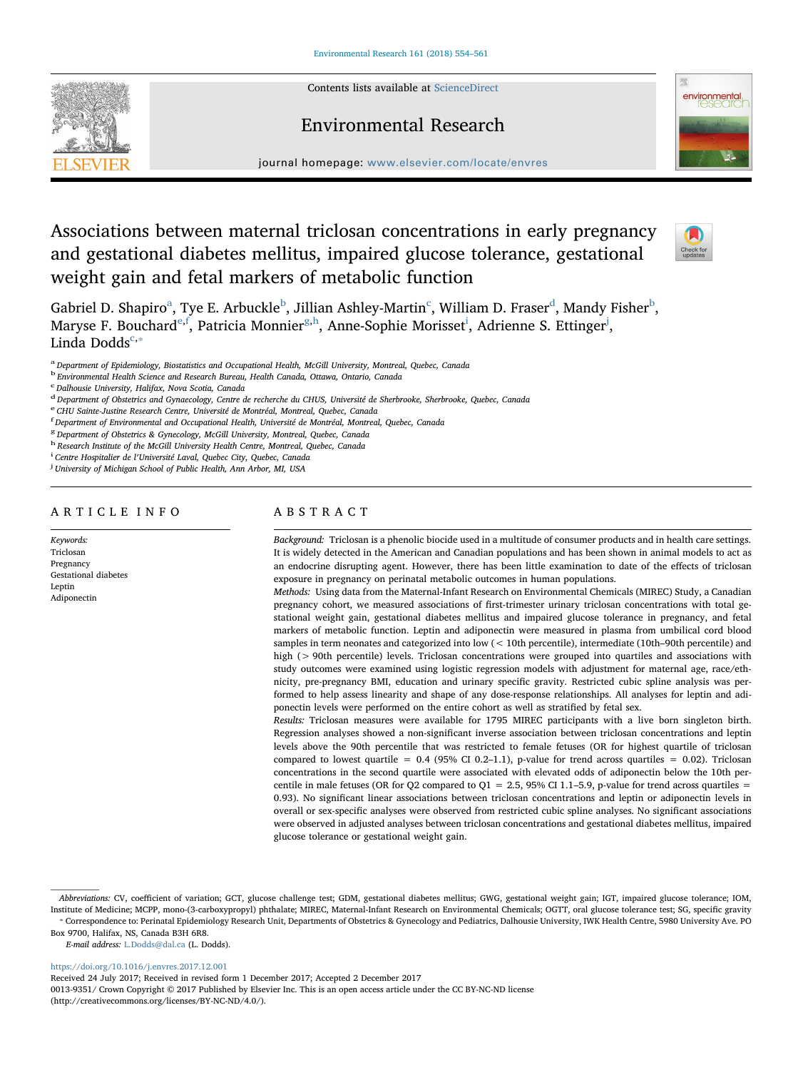Contents lists available at [ScienceDirect](http://www.sciencedirect.com/science/journal/00139351)



Environmental Research journal homepage: [www.elsevier.com/locate/envres](https://www.elsevier.com/locate/envres)

# Associations between maternal triclosan concentrations in early pregnancy and gestational diabetes mellitus, impaired glucose tolerance, gestational weight gain and fetal markers of metabolic function



G[a](#page-0-0)[b](#page-0-1)riel D. Shapiro $^{\rm a}$ , Tye E. Arbu[c](#page-0-2)kle $^{\rm b}$ , Jillian Ashley-Martin $^{\rm c}$ , William D. Fraser $^{\rm d}$  $^{\rm d}$  $^{\rm d}$ , Mandy Fisher $^{\rm b}$ , Marys[e](#page-0-4) F. Bouchard<sup>e,[f](#page-0-5)</sup>, Patricia Monnier<sup>[g,](#page-0-6)[h](#page-0-7)</sup>, Anne-Soph[i](#page-0-8)e Morisset<sup>i</sup>, Adrienne S. Ettinger<sup>[j](#page-0-9)</sup>, Linda Dodds $c$ ,\*

<span id="page-0-0"></span>a Department of Epidemiology, Biostatistics and Occupational Health, McGill University, Montreal, Quebec, Canada

<span id="page-0-1"></span><sup>b</sup> Environmental Health Science and Research Bureau, Health Canada, Ottawa, Ontario, Canada

<span id="page-0-2"></span>c Dalhousie University, Halifax, Nova Scotia, Canada

<span id="page-0-3"></span><sup>d</sup> Department of Obstetrics and Gynaecology, Centre de recherche du CHUS, Université de Sherbrooke, Sherbrooke, Quebec, Canada

<span id="page-0-5"></span><span id="page-0-4"></span><sup>e</sup> CHU Sainte-Justine Research Centre, Université de Montréal, Montreal, Quebec, Canada <sup>f</sup> Department of Environmental and Occupational Health, Université de Montréal, Montreal, Quebec, Canada

<span id="page-0-6"></span><sup>8</sup> Department of Obstetrics & Gynecology, McGill University, Montreal, Quebec, Canada

<span id="page-0-7"></span>h Research Institute of the McGill University Health Centre, Montreal, Quebec, Canada

<span id="page-0-8"></span><sup>i</sup> Centre Hospitalier de l'Université Laval. Ouebec City. Ouebec. Canada

<span id="page-0-9"></span><sup>1</sup> Centre Hospitalier de l′Université Laval, Quebec City, Quebec, Canada<br><sup>j</sup> University of Michigan School of Public Health, Ann Arbor, MI, USA

# ARTICLE INFO

Keywords: Triclosan **Pregnancy** Gestational diabetes Leptin Adiponectin

# ABSTRACT

Background: Triclosan is a phenolic biocide used in a multitude of consumer products and in health care settings. It is widely detected in the American and Canadian populations and has been shown in animal models to act as an endocrine disrupting agent. However, there has been little examination to date of the effects of triclosan exposure in pregnancy on perinatal metabolic outcomes in human populations.

Methods: Using data from the Maternal-Infant Research on Environmental Chemicals (MIREC) Study, a Canadian pregnancy cohort, we measured associations of first-trimester urinary triclosan concentrations with total gestational weight gain, gestational diabetes mellitus and impaired glucose tolerance in pregnancy, and fetal markers of metabolic function. Leptin and adiponectin were measured in plasma from umbilical cord blood samples in term neonates and categorized into low (< 10th percentile), intermediate (10th–90th percentile) and high (> 90th percentile) levels. Triclosan concentrations were grouped into quartiles and associations with study outcomes were examined using logistic regression models with adjustment for maternal age, race/ethnicity, pre-pregnancy BMI, education and urinary specific gravity. Restricted cubic spline analysis was performed to help assess linearity and shape of any dose-response relationships. All analyses for leptin and adiponectin levels were performed on the entire cohort as well as stratified by fetal sex.

Results: Triclosan measures were available for 1795 MIREC participants with a live born singleton birth. Regression analyses showed a non-significant inverse association between triclosan concentrations and leptin levels above the 90th percentile that was restricted to female fetuses (OR for highest quartile of triclosan compared to lowest quartile =  $0.4$  (95% CI 0.2–1.1), p-value for trend across quartiles = 0.02). Triclosan concentrations in the second quartile were associated with elevated odds of adiponectin below the 10th percentile in male fetuses (OR for Q2 compared to Q1 = 2.5, 95% CI 1.1–5.9, p-value for trend across quartiles = 0.93). No significant linear associations between triclosan concentrations and leptin or adiponectin levels in overall or sex-specific analyses were observed from restricted cubic spline analyses. No significant associations were observed in adjusted analyses between triclosan concentrations and gestational diabetes mellitus, impaired glucose tolerance or gestational weight gain.

⁎ Correspondence to: Perinatal Epidemiology Research Unit, Departments of Obstetrics & Gynecology and Pediatrics, Dalhousie University, IWK Health Centre, 5980 University Ave. PO Abbreviations: CV, coefficient of variation; GCT, glucose challenge test; GDM, gestational diabetes mellitus; GWG, gestational weight gain; IGT, impaired glucose tolerance; IOM, Institute of Medicine; MCPP, mono-(3-carboxypropyl) phthalate; MIREC, Maternal-Infant Research on Environmental Chemicals; OGTT, oral glucose tolerance test; SG, specific gravity

<span id="page-0-10"></span>Box 9700, Halifax, NS, Canada B3H 6R8.

E-mail address: [L.Dodds@dal.ca](mailto:L.Dodds@dal.ca) (L. Dodds).

<https://doi.org/10.1016/j.envres.2017.12.001>

Received 24 July 2017; Received in revised form 1 December 2017; Accepted 2 December 2017

0013-9351/ Crown Copyright © 2017 Published by Elsevier Inc. This is an open access article under the CC BY-NC-ND license (http://creativecommons.org/licenses/BY-NC-ND/4.0/).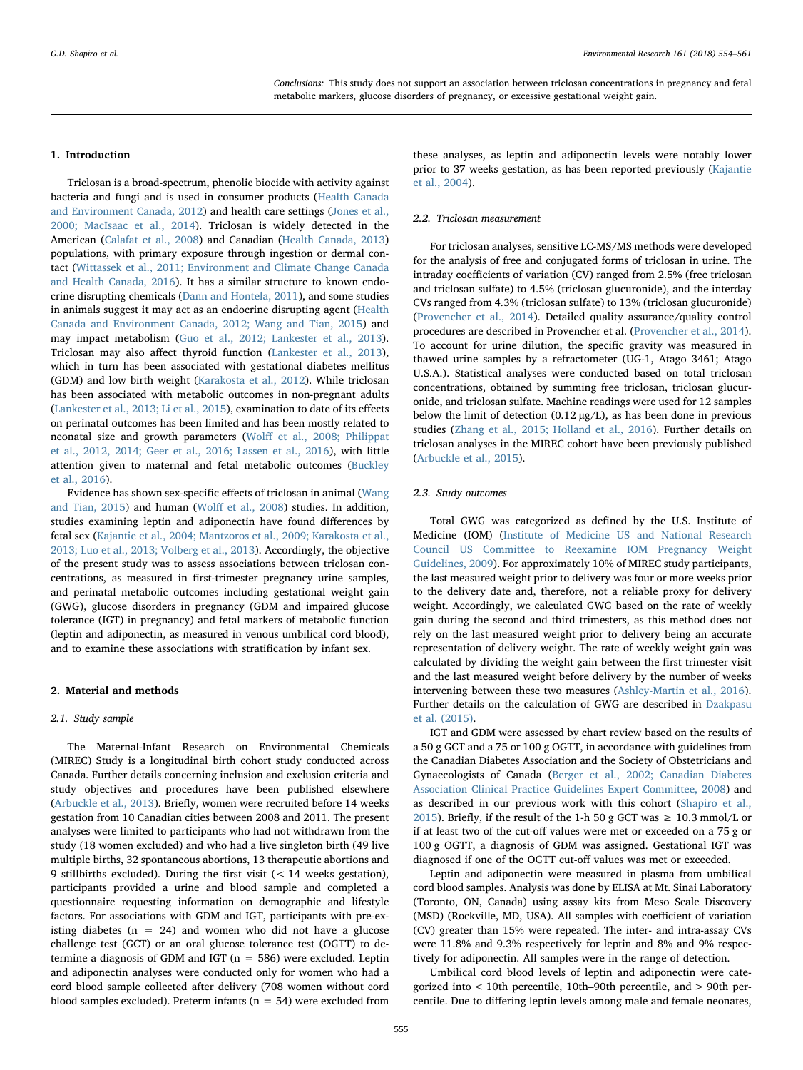Conclusions: This study does not support an association between triclosan concentrations in pregnancy and fetal metabolic markers, glucose disorders of pregnancy, or excessive gestational weight gain.

#### 1. Introduction

Triclosan is a broad-spectrum, phenolic biocide with activity against bacteria and fungi and is used in consumer products ([Health Canada](#page-6-0) [and Environment Canada, 2012](#page-6-0)) and health care settings [\(Jones et al.,](#page-7-0) [2000; MacIsaac et al., 2014\)](#page-7-0). Triclosan is widely detected in the American ([Calafat et al., 2008\)](#page-6-1) and Canadian [\(Health Canada, 2013\)](#page-6-2) populations, with primary exposure through ingestion or dermal contact ([Wittassek et al., 2011; Environment and Climate Change Canada](#page-7-1) [and Health Canada, 2016](#page-7-1)). It has a similar structure to known endocrine disrupting chemicals [\(Dann and Hontela, 2011](#page-6-3)), and some studies in animals suggest it may act as an endocrine disrupting agent [\(Health](#page-6-0) [Canada and Environment Canada, 2012; Wang and Tian, 2015](#page-6-0)) and may impact metabolism [\(Guo et al., 2012; Lankester et al., 2013](#page-6-4)). Triclosan may also affect thyroid function ([Lankester et al., 2013](#page-7-2)), which in turn has been associated with gestational diabetes mellitus (GDM) and low birth weight ([Karakosta et al., 2012](#page-7-3)). While triclosan has been associated with metabolic outcomes in non-pregnant adults ([Lankester et al., 2013; Li et al., 2015\)](#page-7-2), examination to date of its effects on perinatal outcomes has been limited and has been mostly related to neonatal size and growth parameters (Wolff [et al., 2008; Philippat](#page-7-4) [et al., 2012, 2014; Geer et al., 2016; Lassen et al., 2016](#page-7-4)), with little attention given to maternal and fetal metabolic outcomes ([Buckley](#page-6-5) [et al., 2016](#page-6-5)).

Evidence has shown sex-specific effects of triclosan in animal [\(Wang](#page-7-5) [and Tian, 2015](#page-7-5)) and human (Wolff [et al., 2008\)](#page-7-4) studies. In addition, studies examining leptin and adiponectin have found differences by fetal sex ([Kajantie et al., 2004; Mantzoros et al., 2009; Karakosta et al.,](#page-7-6) [2013; Luo et al., 2013; Volberg et al., 2013](#page-7-6)). Accordingly, the objective of the present study was to assess associations between triclosan concentrations, as measured in first-trimester pregnancy urine samples, and perinatal metabolic outcomes including gestational weight gain (GWG), glucose disorders in pregnancy (GDM and impaired glucose tolerance (IGT) in pregnancy) and fetal markers of metabolic function (leptin and adiponectin, as measured in venous umbilical cord blood), and to examine these associations with stratification by infant sex.

#### 2. Material and methods

#### 2.1. Study sample

The Maternal-Infant Research on Environmental Chemicals (MIREC) Study is a longitudinal birth cohort study conducted across Canada. Further details concerning inclusion and exclusion criteria and study objectives and procedures have been published elsewhere ([Arbuckle et al., 2013](#page-6-6)). Briefly, women were recruited before 14 weeks gestation from 10 Canadian cities between 2008 and 2011. The present analyses were limited to participants who had not withdrawn from the study (18 women excluded) and who had a live singleton birth (49 live multiple births, 32 spontaneous abortions, 13 therapeutic abortions and 9 stillbirths excluded). During the first visit (< 14 weeks gestation), participants provided a urine and blood sample and completed a questionnaire requesting information on demographic and lifestyle factors. For associations with GDM and IGT, participants with pre-existing diabetes  $(n = 24)$  and women who did not have a glucose challenge test (GCT) or an oral glucose tolerance test (OGTT) to determine a diagnosis of GDM and IGT ( $n = 586$ ) were excluded. Leptin and adiponectin analyses were conducted only for women who had a cord blood sample collected after delivery (708 women without cord blood samples excluded). Preterm infants ( $n = 54$ ) were excluded from

these analyses, as leptin and adiponectin levels were notably lower prior to 37 weeks gestation, as has been reported previously ([Kajantie](#page-7-6) [et al., 2004](#page-7-6)).

## 2.2. Triclosan measurement

For triclosan analyses, sensitive LC-MS/MS methods were developed for the analysis of free and conjugated forms of triclosan in urine. The intraday coefficients of variation (CV) ranged from 2.5% (free triclosan and triclosan sulfate) to 4.5% (triclosan glucuronide), and the interday CVs ranged from 4.3% (triclosan sulfate) to 13% (triclosan glucuronide) ([Provencher et al., 2014\)](#page-7-7). Detailed quality assurance/quality control procedures are described in Provencher et al. [\(Provencher et al., 2014](#page-7-7)). To account for urine dilution, the specific gravity was measured in thawed urine samples by a refractometer (UG-1, Atago 3461; Atago U.S.A.). Statistical analyses were conducted based on total triclosan concentrations, obtained by summing free triclosan, triclosan glucuronide, and triclosan sulfate. Machine readings were used for 12 samples below the limit of detection (0.12 µg/L), as has been done in previous studies [\(Zhang et al., 2015; Holland et al., 2016](#page-7-8)). Further details on triclosan analyses in the MIREC cohort have been previously published ([Arbuckle et al., 2015\)](#page-6-7).

## 2.3. Study outcomes

Total GWG was categorized as defined by the U.S. Institute of Medicine (IOM) ([Institute of Medicine US and National Research](#page-6-8) [Council US Committee to Reexamine IOM Pregnancy Weight](#page-6-8) [Guidelines, 2009\)](#page-6-8). For approximately 10% of MIREC study participants, the last measured weight prior to delivery was four or more weeks prior to the delivery date and, therefore, not a reliable proxy for delivery weight. Accordingly, we calculated GWG based on the rate of weekly gain during the second and third trimesters, as this method does not rely on the last measured weight prior to delivery being an accurate representation of delivery weight. The rate of weekly weight gain was calculated by dividing the weight gain between the first trimester visit and the last measured weight before delivery by the number of weeks intervening between these two measures [\(Ashley-Martin et al., 2016](#page-6-9)). Further details on the calculation of GWG are described in [Dzakpasu](#page-6-10) [et al. \(2015\)](#page-6-10).

IGT and GDM were assessed by chart review based on the results of a 50 g GCT and a 75 or 100 g OGTT, in accordance with guidelines from the Canadian Diabetes Association and the Society of Obstetricians and Gynaecologists of Canada ([Berger et al., 2002; Canadian Diabetes](#page-6-11) [Association Clinical Practice Guidelines Expert Committee, 2008\)](#page-6-11) and as described in our previous work with this cohort [\(Shapiro et al.,](#page-7-9) [2015\)](#page-7-9). Briefly, if the result of the 1-h 50 g GCT was  $\geq 10.3$  mmol/L or if at least two of the cut-off values were met or exceeded on a 75 g or 100 g OGTT, a diagnosis of GDM was assigned. Gestational IGT was diagnosed if one of the OGTT cut-off values was met or exceeded.

Leptin and adiponectin were measured in plasma from umbilical cord blood samples. Analysis was done by ELISA at Mt. Sinai Laboratory (Toronto, ON, Canada) using assay kits from Meso Scale Discovery (MSD) (Rockville, MD, USA). All samples with coefficient of variation (CV) greater than 15% were repeated. The inter- and intra-assay CVs were 11.8% and 9.3% respectively for leptin and 8% and 9% respectively for adiponectin. All samples were in the range of detection.

Umbilical cord blood levels of leptin and adiponectin were categorized into < 10th percentile, 10th–90th percentile, and > 90th percentile. Due to differing leptin levels among male and female neonates,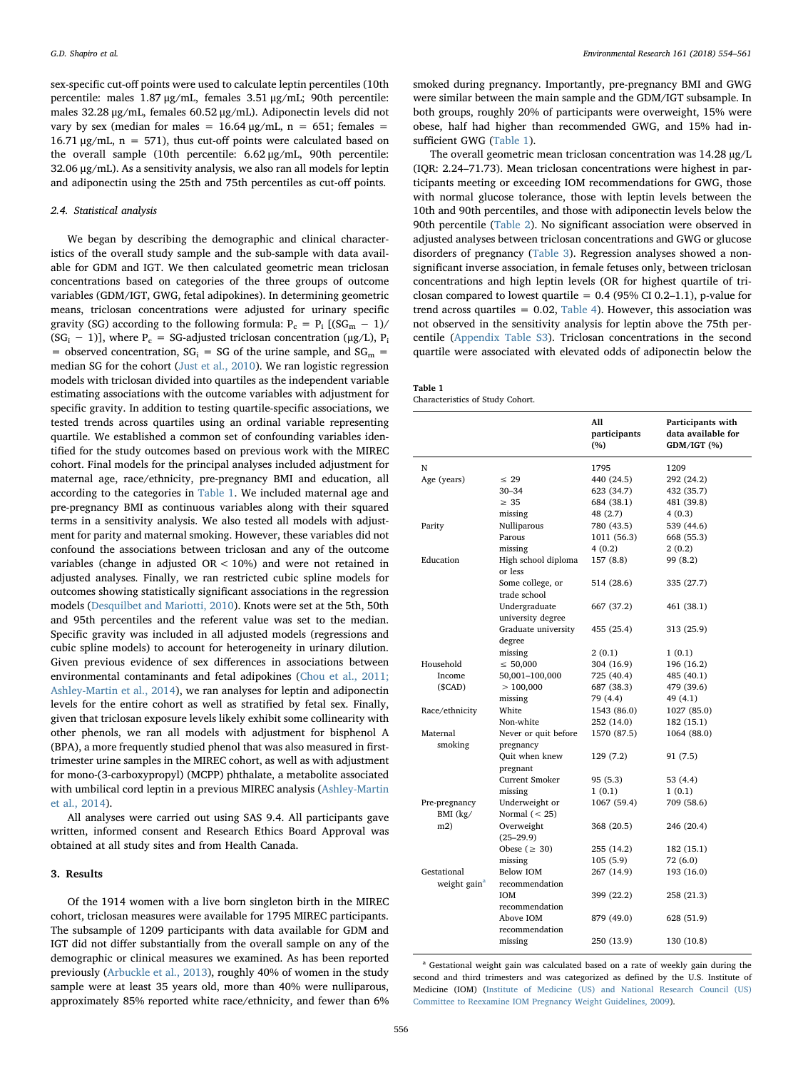sex-specific cut-off points were used to calculate leptin percentiles (10th percentile: males 1.87 μg/mL, females 3.51 μg/mL; 90th percentile: males 32.28 μg/mL, females 60.52 μg/mL). Adiponectin levels did not vary by sex (median for males =  $16.64 \mu g/mL$ , n = 651; females = 16.71  $\mu$ g/mL, n = 571), thus cut-off points were calculated based on the overall sample (10th percentile: 6.62 μg/mL, 90th percentile: 32.06 μg/mL). As a sensitivity analysis, we also ran all models for leptin and adiponectin using the 25th and 75th percentiles as cut-off points.

# 2.4. Statistical analysis

We began by describing the demographic and clinical characteristics of the overall study sample and the sub-sample with data available for GDM and IGT. We then calculated geometric mean triclosan concentrations based on categories of the three groups of outcome variables (GDM/IGT, GWG, fetal adipokines). In determining geometric means, triclosan concentrations were adjusted for urinary specific gravity (SG) according to the following formula:  $P_c = P_i [(SG_m - 1)/$  $(SG_i - 1)$ ], where P<sub>c</sub> = SG-adjusted triclosan concentration (µg/L), P<sub>i</sub> = observed concentration,  $SG_i$  = SG of the urine sample, and  $SG_m$  = median SG for the cohort ([Just et al., 2010\)](#page-7-10). We ran logistic regression models with triclosan divided into quartiles as the independent variable estimating associations with the outcome variables with adjustment for specific gravity. In addition to testing quartile-specific associations, we tested trends across quartiles using an ordinal variable representing quartile. We established a common set of confounding variables identified for the study outcomes based on previous work with the MIREC cohort. Final models for the principal analyses included adjustment for maternal age, race/ethnicity, pre-pregnancy BMI and education, all according to the categories in [Table 1.](#page-2-0) We included maternal age and pre-pregnancy BMI as continuous variables along with their squared terms in a sensitivity analysis. We also tested all models with adjustment for parity and maternal smoking. However, these variables did not confound the associations between triclosan and any of the outcome variables (change in adjusted  $OR < 10\%$ ) and were not retained in adjusted analyses. Finally, we ran restricted cubic spline models for outcomes showing statistically significant associations in the regression models ([Desquilbet and Mariotti, 2010\)](#page-6-12). Knots were set at the 5th, 50th and 95th percentiles and the referent value was set to the median. Specific gravity was included in all adjusted models (regressions and cubic spline models) to account for heterogeneity in urinary dilution. Given previous evidence of sex differences in associations between environmental contaminants and fetal adipokines ([Chou et al., 2011;](#page-6-13) [Ashley-Martin et al., 2014](#page-6-13)), we ran analyses for leptin and adiponectin levels for the entire cohort as well as stratified by fetal sex. Finally, given that triclosan exposure levels likely exhibit some collinearity with other phenols, we ran all models with adjustment for bisphenol A (BPA), a more frequently studied phenol that was also measured in firsttrimester urine samples in the MIREC cohort, as well as with adjustment for mono-(3-carboxypropyl) (MCPP) phthalate, a metabolite associated with umbilical cord leptin in a previous MIREC analysis ([Ashley-Martin](#page-6-14) [et al., 2014](#page-6-14)).

All analyses were carried out using SAS 9.4. All participants gave written, informed consent and Research Ethics Board Approval was obtained at all study sites and from Health Canada.

### 3. Results

Of the 1914 women with a live born singleton birth in the MIREC cohort, triclosan measures were available for 1795 MIREC participants. The subsample of 1209 participants with data available for GDM and IGT did not differ substantially from the overall sample on any of the demographic or clinical measures we examined. As has been reported previously ([Arbuckle et al., 2013\)](#page-6-6), roughly 40% of women in the study sample were at least 35 years old, more than 40% were nulliparous, approximately 85% reported white race/ethnicity, and fewer than 6%

smoked during pregnancy. Importantly, pre-pregnancy BMI and GWG were similar between the main sample and the GDM/IGT subsample. In both groups, roughly 20% of participants were overweight, 15% were obese, half had higher than recommended GWG, and 15% had insufficient GWG ([Table 1\)](#page-2-0).

The overall geometric mean triclosan concentration was 14.28 µg/L (IQR: 2.24–71.73). Mean triclosan concentrations were highest in participants meeting or exceeding IOM recommendations for GWG, those with normal glucose tolerance, those with leptin levels between the 10th and 90th percentiles, and those with adiponectin levels below the 90th percentile ([Table 2\)](#page-3-0). No significant association were observed in adjusted analyses between triclosan concentrations and GWG or glucose disorders of pregnancy [\(Table 3](#page-3-1)). Regression analyses showed a nonsignificant inverse association, in female fetuses only, between triclosan concentrations and high leptin levels (OR for highest quartile of triclosan compared to lowest quartile =  $0.4$  (95% CI 0.2–1.1), p-value for trend across quartiles =  $0.02$ , [Table 4\)](#page-4-0). However, this association was not observed in the sensitivity analysis for leptin above the 75th percentile (Appendix Table S3). Triclosan concentrations in the second quartile were associated with elevated odds of adiponectin below the

<span id="page-2-0"></span>

| Table 1                          |  |
|----------------------------------|--|
| Characteristics of Study Cohort. |  |

|                          |                       | All<br>participants<br>(%) | Participants with<br>data available for<br>GDM/IGT (%) |
|--------------------------|-----------------------|----------------------------|--------------------------------------------------------|
| N                        |                       | 1795                       | 1209                                                   |
| Age (years)              | $\leq 29$             | 440 (24.5)                 | 292 (24.2)                                             |
|                          | $30 - 34$             | 623 (34.7)                 | 432 (35.7)                                             |
|                          | $\geq 35$             | 684 (38.1)                 | 481 (39.8)                                             |
|                          | missing               | 48 (2.7)                   | 4(0.3)                                                 |
| Parity                   | Nulliparous           | 780 (43.5)                 | 539 (44.6)                                             |
|                          | Parous                | 1011 (56.3)                | 668 (55.3)                                             |
|                          | missing               | 4 (0.2)                    | 2(0.2)                                                 |
| Education                | High school diploma   | 157 (8.8)                  | 99 (8.2)                                               |
|                          | or less               |                            |                                                        |
|                          | Some college, or      | 514 (28.6)                 | 335 (27.7)                                             |
|                          | trade school          |                            |                                                        |
|                          | Undergraduate         | 667 (37.2)                 | 461 (38.1)                                             |
|                          | university degree     |                            |                                                        |
|                          | Graduate university   | 455 (25.4)                 | 313 (25.9)                                             |
|                          | degree                |                            |                                                        |
|                          | missing               | 2(0.1)                     | 1(0.1)                                                 |
| Household                | $\leq 50,000$         | 304 (16.9)                 | 196 (16.2)                                             |
| Income                   | 50,001-100,000        | 725 (40.4)                 | 485 (40.1)                                             |
| (SCAD)                   | >100,000              | 687 (38.3)                 | 479 (39.6)                                             |
|                          | missing               | 79 (4.4)                   | 49 (4.1)                                               |
| Race/ethnicity           | White                 | 1543 (86.0)                | 1027 (85.0)                                            |
|                          | Non-white             | 252 (14.0)                 | 182 (15.1)                                             |
| Maternal                 | Never or quit before  | 1570 (87.5)                | 1064 (88.0)                                            |
| smoking                  | pregnancy             |                            |                                                        |
|                          | Quit when knew        | 129 (7.2)                  | 91 (7.5)                                               |
|                          | pregnant              |                            |                                                        |
|                          | <b>Current Smoker</b> | 95 (5.3)                   | 53 (4.4)                                               |
|                          | missing               | 1(0.1)                     | 1(0.1)                                                 |
| Pre-pregnancy            | Underweight or        | 1067 (59.4)                | 709 (58.6)                                             |
| BMI $(kg/$               | Normal $(< 25)$       |                            |                                                        |
| m2)                      | Overweight            | 368 (20.5)                 | 246 (20.4)                                             |
|                          | $(25-29.9)$           |                            |                                                        |
|                          | Obese ( $\geq 30$ )   | 255 (14.2)                 | 182 (15.1)                                             |
|                          | missing               | 105(5.9)                   | 72 (6.0)                                               |
| Gestational              | Below IOM             | 267 (14.9)                 | 193 (16.0)                                             |
| weight gain <sup>a</sup> | recommendation        |                            |                                                        |
|                          | IOM                   | 399 (22.2)                 | 258 (21.3)                                             |
|                          | recommendation        |                            |                                                        |
|                          | Above IOM             | 879 (49.0)                 | 628 (51.9)                                             |
|                          | recommendation        |                            |                                                        |
|                          | missing               | 250 (13.9)                 | 130 (10.8)                                             |

<span id="page-2-1"></span><sup>a</sup> Gestational weight gain was calculated based on a rate of weekly gain during the second and third trimesters and was categorized as defined by the U.S. Institute of Medicine (IOM) ([Institute of Medicine \(US\) and National Research Council \(US\)](#page-6-8) [Committee to Reexamine IOM Pregnancy Weight Guidelines, 2009\)](#page-6-8).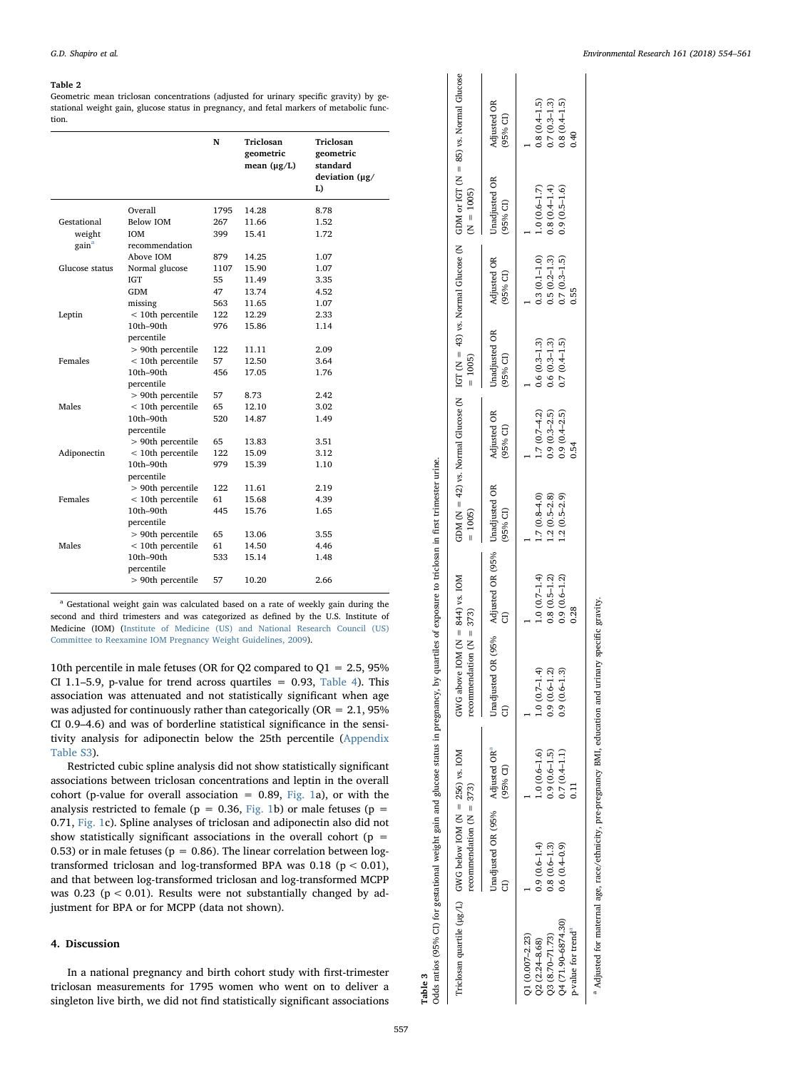#### <span id="page-3-0"></span>Table 2

Geometric mean triclosan concentrations (adjusted for urinary specific gravity) by gestational weight gain, glucose status in pregnancy, and fetal markers of metabolic function.

|                   |                     | N    | Triclosan<br>geometric<br>mean $(\mu g/L)$ | Triclosan<br>geometric<br>standard<br>deviation $(\mu g)$<br>L) |
|-------------------|---------------------|------|--------------------------------------------|-----------------------------------------------------------------|
|                   | Overall             | 1795 | 14.28                                      | 8.78                                                            |
| Gestational       | Below IOM           | 267  | 11.66                                      | 1.52                                                            |
| weight            | <b>IOM</b>          | 399  | 15.41                                      | 1.72                                                            |
| gain <sup>a</sup> | recommendation      |      |                                            |                                                                 |
|                   | Above IOM           | 879  | 14.25                                      | 1.07                                                            |
| Glucose status    | Normal glucose      | 1107 | 15.90                                      | 1.07                                                            |
|                   | <b>IGT</b>          | 55   | 11.49                                      | 3.35                                                            |
|                   | GDM                 | 47   | 13.74                                      | 4.52                                                            |
|                   | missing             | 563  | 11.65                                      | 1.07                                                            |
| Leptin            | $<$ 10th percentile | 122  | 12.29                                      | 2.33                                                            |
|                   | $10th-90th$         | 976  | 15.86                                      | 1.14                                                            |
|                   | percentile          |      |                                            |                                                                 |
|                   | > 90th percentile   | 122  | 11.11                                      | 2.09                                                            |
| Females           | $<$ 10th percentile | 57   | 12.50                                      | 3.64                                                            |
|                   | $10th-90th$         | 456  | 17.05                                      | 1.76                                                            |
|                   | percentile          |      |                                            |                                                                 |
|                   | > 90th percentile   | 57   | 8.73                                       | 2.42                                                            |
| Males             | $<$ 10th percentile | 65   | 12.10                                      | 3.02                                                            |
|                   | 10th-90th           | 520  | 14.87                                      | 1.49                                                            |
|                   | percentile          |      |                                            |                                                                 |
|                   | > 90th percentile   | 65   | 13.83                                      | 3.51                                                            |
| Adiponectin       | $<$ 10th percentile | 122  | 15.09                                      | 3.12                                                            |
|                   | 10th-90th           | 979  | 15.39                                      | 1.10                                                            |
|                   | percentile          |      |                                            |                                                                 |
|                   | > 90th percentile   | 122  | 11.61                                      | 2.19                                                            |
| Females           | $<$ 10th percentile | 61   | 15.68                                      | 4.39                                                            |
|                   | $10th-90th$         | 445  | 15.76                                      | 1.65                                                            |
|                   | percentile          |      |                                            |                                                                 |
|                   | > 90th percentile   | 65   | 13.06                                      | 3.55                                                            |
| Males             | $<$ 10th percentile | 61   | 14.50                                      | 4.46                                                            |
|                   | $10th-90th$         | 533  | 15.14                                      | 1.48                                                            |
|                   | percentile          |      |                                            |                                                                 |
|                   | > 90th percentile   | 57   | 10.20                                      | 2.66                                                            |
|                   |                     |      |                                            |                                                                 |

<span id="page-3-2"></span><sup>a</sup> Gestational weight gain was calculated based on a rate of weekly gain during the second and third trimesters and was categorized as defined by the U.S. Institute of Medicine (IOM) ([Institute of Medicine \(US\) and National Research Council \(US\)](#page-6-8) [Committee to Reexamine IOM Pregnancy Weight Guidelines, 2009\)](#page-6-8).

10th percentile in male fetuses (OR for Q2 compared to Q1 = 2.5, 95% CI 1.1–5.9, p-value for trend across quartiles  $= 0.93$ , [Table 4](#page-4-0)). This association was attenuated and not statistically significant when age was adjusted for continuously rather than categorically ( $OR = 2.1$ ,  $95\%$ CI 0.9–4.6) and was of borderline statistical significance in the sensitivity analysis for adiponectin below the 25th percentile (Appendix Table S3).

Restricted cubic spline analysis did not show statistically significant associations between triclosan concentrations and leptin in the overall cohort (p-value for overall association =  $0.89$ , [Fig. 1](#page-5-0)a), or with the analysis restricted to female ( $p = 0.36$ , [Fig. 1](#page-5-0)b) or male fetuses ( $p =$ 0.71, [Fig. 1c](#page-5-0)). Spline analyses of triclosan and adiponectin also did not show statistically significant associations in the overall cohort ( $p =$ 0.53) or in male fetuses ( $p = 0.86$ ). The linear correlation between logtransformed triclosan and log-transformed BPA was 0.18 (p < 0.01), and that between log-transformed triclosan and log-transformed MCPP was  $0.23$  ( $p < 0.01$ ). Results were not substantially changed by adjustment for BPA or for MCPP (data not shown).

#### 4. Discussion

In a national pregnancy and birth cohort study with first-trimester triclosan measurements for 1795 women who went on to deliver a singleton live birth, we did not find statistically significant associations

<span id="page-3-3"></span><span id="page-3-1"></span>

|                                | Triclosan quartile (µg/L) GWG below IOM (N = 256) vs. IOM<br>recommendation $(N = 373)$ |                | GWG above IOM $(N = 844)$ vs. IOM<br>recommendation $(N = 373)$ |                  | $= 1005$        |                         | $= 1005$                  |                         | $(N = 1005)$              | GDM (N = 42) vs. Normal Glucose (N $\frac{1}{2}$ Vs. Normal Glucose (N $\frac{1}{2}$ GDM or $\frac{1}{2}$ CF (N = 85) vs. Normal Glucose |
|--------------------------------|-----------------------------------------------------------------------------------------|----------------|-----------------------------------------------------------------|------------------|-----------------|-------------------------|---------------------------|-------------------------|---------------------------|------------------------------------------------------------------------------------------------------------------------------------------|
|                                | Unadjusted OR (95% Adjusted OR <sup>a</sup>                                             | (95% CI)       | Unadjusted OR (95% Adjusted OR (95% Unadjusted OR<br>Ē          |                  | (95% CI)        | Adjusted OR<br>(95% CI) | Unadjusted OR<br>(95% CI) | Adjusted OR<br>(95% CI) | Unadjusted OR<br>(95% CI) | Adjusted OR<br>(95% CI)                                                                                                                  |
| $Q1(0.007 - 2.23)$             |                                                                                         |                |                                                                 |                  |                 |                         |                           |                         |                           |                                                                                                                                          |
| $22(2.24-8.68)$                | $0.9(0.6 - 1.4)$                                                                        | $1.0(0.6-1.6)$ | $1.0(0.7-1.4)$                                                  | $1.0(0.7-1.4)$   | $1.7(0.8-4.0)$  | $1.7(0.7 - 4.2)$        | $0.6(0.3-1.3)$            | $0.3(0.1 - 1.0)$        | $1.0(0.6-1.7)$            | $0.8(0.4-1.5)$                                                                                                                           |
| Q3 (8.70-71.73)                | $0.8(0.6-1.3)$                                                                          | $0.9(0.6-1.5)$ | $0.9(0.6 - 1.2)$                                                | $0.8(0.5 - 1.2)$ | $1.2(0.5-2.8)$  | $0.9(0.3 - 2.5)$        | $0.6(0.3 - 1.3)$          | $0.5(0.2 - 1.3)$        | $0.8(0.4-1.4)$            | $0.7(0.3 - 1.3)$                                                                                                                         |
| Q4 (71.90-6874.30)             | $0.6(0.4-0.9)$                                                                          | $0.7(0.4-1.1)$ | $0.9(0.6-1.3)$                                                  | $0.9(0.6 - 1.2)$ | $.2(0.5 - 2.9)$ | $0.9(0.4 - 2.5)$        | $0.7(0.4-1.5)$            | $0.7(0.3 - 1.5)$        | $0.9(0.5-1.6)$            | $0.8(0.4-1.5)$                                                                                                                           |
| p-value for trend <sup>a</sup> |                                                                                         |                |                                                                 | 0.28             |                 | 0.54                    |                           | <b>1.55</b>             |                           | 0+10                                                                                                                                     |

a

Adjusted for maternal age, race/ethnicity, pre-pregnancy BMI, education and urinary specific gravity.

Adjusted for maternal age, race/ethnicity, pre-pregnancy BMI, education and urinary specific gravity

Table 3

557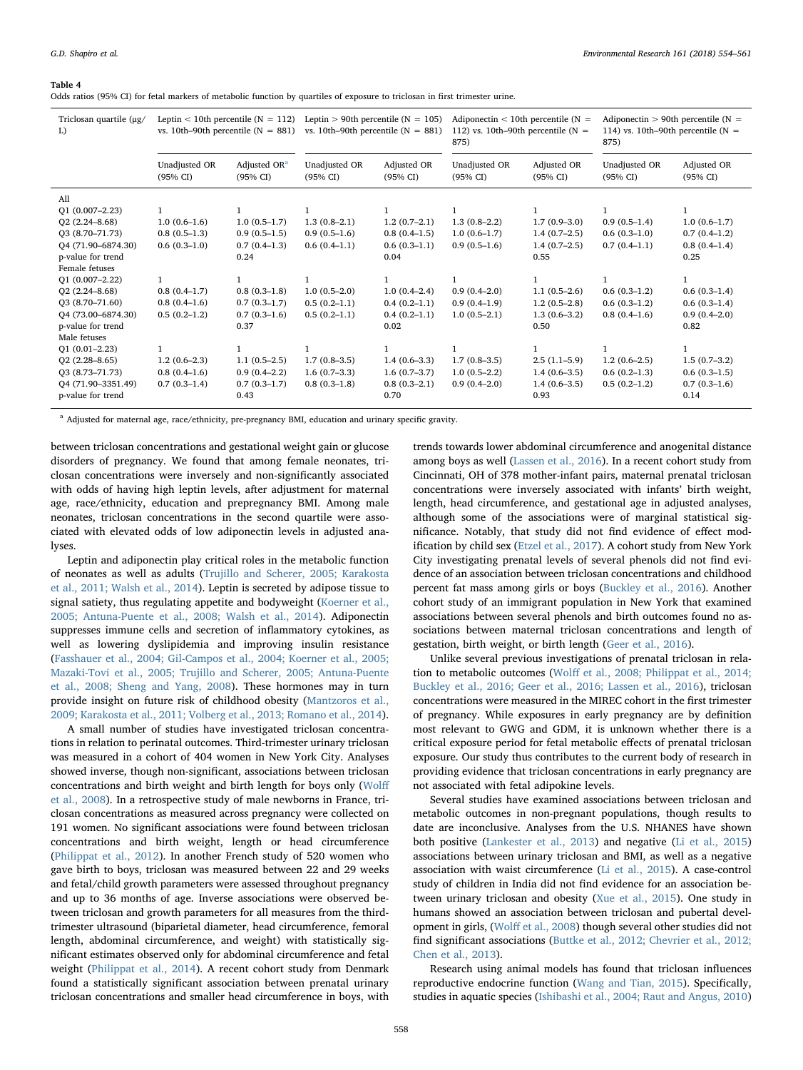#### <span id="page-4-0"></span>Table 4

Odds ratios (95% CI) for fetal markers of metabolic function by quartiles of exposure to triclosan in first trimester urine.

| Triclosan quartile (µg/<br>L)                                                                                                                                                                                                                                                                                     | Leptin $<$ 10th percentile (N = 112)<br>vs. 10th–90th percentile $(N = 881)$                                                                           |                                                                                                                                                              | Leptin > 90th percentile ( $N = 105$ )<br>vs. 10th–90th percentile ( $N = 881$ )                                                             |                                                                                                                                                              | Adiponectin $<$ 10th percentile (N =<br>112) vs. 10th–90th percentile ( $N =$<br>875)                                                        |                                                                                                                                                              | Adiponectin $>$ 90th percentile (N =<br>114) vs. 10th–90th percentile ( $N =$<br>875)                                                        |                                                                                                                                                              |
|-------------------------------------------------------------------------------------------------------------------------------------------------------------------------------------------------------------------------------------------------------------------------------------------------------------------|--------------------------------------------------------------------------------------------------------------------------------------------------------|--------------------------------------------------------------------------------------------------------------------------------------------------------------|----------------------------------------------------------------------------------------------------------------------------------------------|--------------------------------------------------------------------------------------------------------------------------------------------------------------|----------------------------------------------------------------------------------------------------------------------------------------------|--------------------------------------------------------------------------------------------------------------------------------------------------------------|----------------------------------------------------------------------------------------------------------------------------------------------|--------------------------------------------------------------------------------------------------------------------------------------------------------------|
|                                                                                                                                                                                                                                                                                                                   | Unadjusted OR<br>(95% CI)                                                                                                                              | Adjusted OR <sup>a</sup><br>(95% CI)                                                                                                                         | Unadjusted OR<br>(95% CI)                                                                                                                    | Adjusted OR<br>$(95\% \text{ CI})$                                                                                                                           | Unadjusted OR<br>$(95\% \text{ CI})$                                                                                                         | Adjusted OR<br>(95% CI)                                                                                                                                      | Unadjusted OR<br>(95% CI)                                                                                                                    | Adjusted OR<br>(95% CI)                                                                                                                                      |
| All<br>$Q1(0.007-2.23)$<br>$Q2(2.24 - 8.68)$<br>Q3 (8.70-71.73)<br>Q4 (71.90-6874.30)<br>p-value for trend<br>Female fetuses<br>$Q1(0.007-2.22)$<br>$Q2(2.24 - 8.68)$<br>Q3 (8.70-71.60)<br>Q4 (73.00-6874.30)<br>p-value for trend<br>Male fetuses<br>$Q1(0.01-2.23)$<br>$Q2(2.28 - 8.65)$<br>$Q3(8.73 - 71.73)$ | $1.0(0.6-1.6)$<br>$0.8(0.5-1.3)$<br>$0.6(0.3-1.0)$<br>1<br>$0.8(0.4-1.7)$<br>$0.8(0.4-1.6)$<br>$0.5(0.2-1.2)$<br>1<br>$1.2(0.6-2.3)$<br>$0.8(0.4-1.6)$ | $1.0(0.5-1.7)$<br>$0.9(0.5-1.5)$<br>$0.7(0.4-1.3)$<br>0.24<br>$0.8(0.3-1.8)$<br>$0.7(0.3-1.7)$<br>$0.7(0.3-1.6)$<br>0.37<br>$1.1(0.5-2.5)$<br>$0.9(0.4-2.2)$ | $1.3(0.8-2.1)$<br>$0.9(0.5-1.6)$<br>$0.6(0.4-1.1)$<br>$1.0(0.5-2.0)$<br>$0.5(0.2-1.1)$<br>$0.5(0.2-1.1)$<br>$1.7(0.8-3.5)$<br>$1.6(0.7-3.3)$ | $1.2(0.7-2.1)$<br>$0.8(0.4-1.5)$<br>$0.6(0.3-1.1)$<br>0.04<br>$1.0(0.4-2.4)$<br>$0.4(0.2-1.1)$<br>$0.4(0.2-1.1)$<br>0.02<br>$1.4(0.6-3.3)$<br>$1.6(0.7-3.7)$ | $1.3(0.8-2.2)$<br>$1.0(0.6-1.7)$<br>$0.9(0.5-1.6)$<br>$0.9(0.4-2.0)$<br>$0.9(0.4-1.9)$<br>$1.0(0.5-2.1)$<br>$1.7(0.8-3.5)$<br>$1.0(0.5-2.2)$ | $1.7(0.9-3.0)$<br>$1.4(0.7-2.5)$<br>$1.4(0.7-2.5)$<br>0.55<br>$1.1(0.5-2.6)$<br>$1.2(0.5-2.8)$<br>$1.3(0.6-3.2)$<br>0.50<br>$2.5(1.1-5.9)$<br>$1.4(0.6-3.5)$ | $0.9(0.5-1.4)$<br>$0.6(0.3-1.0)$<br>$0.7(0.4-1.1)$<br>$0.6(0.3-1.2)$<br>$0.6(0.3-1.2)$<br>$0.8(0.4-1.6)$<br>$1.2(0.6-2.5)$<br>$0.6(0.2-1.3)$ | $1.0(0.6-1.7)$<br>$0.7(0.4-1.2)$<br>$0.8(0.4-1.4)$<br>0.25<br>$0.6(0.3-1.4)$<br>$0.6(0.3-1.4)$<br>$0.9(0.4-2.0)$<br>0.82<br>$1.5(0.7-3.2)$<br>$0.6(0.3-1.5)$ |
| Q4 (71.90-3351.49)<br>p-value for trend                                                                                                                                                                                                                                                                           | $0.7(0.3-1.4)$                                                                                                                                         | $0.7(0.3-1.7)$<br>0.43                                                                                                                                       | $0.8(0.3-1.8)$                                                                                                                               | $0.8(0.3-2.1)$<br>0.70                                                                                                                                       | $0.9(0.4-2.0)$                                                                                                                               | $1.4(0.6-3.5)$<br>0.93                                                                                                                                       | $0.5(0.2-1.2)$                                                                                                                               | $0.7(0.3-1.6)$<br>0.14                                                                                                                                       |

<span id="page-4-1"></span><sup>a</sup> Adjusted for maternal age, race/ethnicity, pre-pregnancy BMI, education and urinary specific gravity.

between triclosan concentrations and gestational weight gain or glucose disorders of pregnancy. We found that among female neonates, triclosan concentrations were inversely and non-significantly associated with odds of having high leptin levels, after adjustment for maternal age, race/ethnicity, education and prepregnancy BMI. Among male neonates, triclosan concentrations in the second quartile were associated with elevated odds of low adiponectin levels in adjusted ana**lyses** 

Leptin and adiponectin play critical roles in the metabolic function of neonates as well as adults [\(Trujillo and Scherer, 2005; Karakosta](#page-7-11) [et al., 2011; Walsh et al., 2014](#page-7-11)). Leptin is secreted by adipose tissue to signal satiety, thus regulating appetite and bodyweight [\(Koerner et al.,](#page-7-12) [2005; Antuna-Puente et al., 2008; Walsh et al., 2014\)](#page-7-12). Adiponectin suppresses immune cells and secretion of inflammatory cytokines, as well as lowering dyslipidemia and improving insulin resistance ([Fasshauer et al., 2004; Gil-Campos et al., 2004; Koerner et al., 2005;](#page-6-15) [Mazaki-Tovi et al., 2005; Trujillo and Scherer, 2005; Antuna-Puente](#page-6-15) [et al., 2008; Sheng and Yang, 2008\)](#page-6-15). These hormones may in turn provide insight on future risk of childhood obesity ([Mantzoros et al.,](#page-7-13) [2009; Karakosta et al., 2011; Volberg et al., 2013; Romano et al., 2014](#page-7-13)).

A small number of studies have investigated triclosan concentrations in relation to perinatal outcomes. Third-trimester urinary triclosan was measured in a cohort of 404 women in New York City. Analyses showed inverse, though non-significant, associations between triclosan concentrations and birth weight and birth length for boys only [\(Wol](#page-7-4)ff [et al., 2008](#page-7-4)). In a retrospective study of male newborns in France, triclosan concentrations as measured across pregnancy were collected on 191 women. No significant associations were found between triclosan concentrations and birth weight, length or head circumference ([Philippat et al., 2012](#page-7-14)). In another French study of 520 women who gave birth to boys, triclosan was measured between 22 and 29 weeks and fetal/child growth parameters were assessed throughout pregnancy and up to 36 months of age. Inverse associations were observed between triclosan and growth parameters for all measures from the thirdtrimester ultrasound (biparietal diameter, head circumference, femoral length, abdominal circumference, and weight) with statistically significant estimates observed only for abdominal circumference and fetal weight ([Philippat et al., 2014](#page-7-15)). A recent cohort study from Denmark found a statistically significant association between prenatal urinary triclosan concentrations and smaller head circumference in boys, with

trends towards lower abdominal circumference and anogenital distance among boys as well [\(Lassen et al., 2016\)](#page-7-16). In a recent cohort study from Cincinnati, OH of 378 mother-infant pairs, maternal prenatal triclosan concentrations were inversely associated with infants' birth weight, length, head circumference, and gestational age in adjusted analyses, although some of the associations were of marginal statistical significance. Notably, that study did not find evidence of effect modification by child sex [\(Etzel et al., 2017](#page-6-16)). A cohort study from New York City investigating prenatal levels of several phenols did not find evidence of an association between triclosan concentrations and childhood percent fat mass among girls or boys ([Buckley et al., 2016\)](#page-6-5). Another cohort study of an immigrant population in New York that examined associations between several phenols and birth outcomes found no associations between maternal triclosan concentrations and length of gestation, birth weight, or birth length [\(Geer et al., 2016](#page-6-17)).

Unlike several previous investigations of prenatal triclosan in relation to metabolic outcomes (Wolff et [al., 2008; Philippat et al., 2014;](#page-7-4) [Buckley et al., 2016; Geer et al., 2016; Lassen et al., 2016\)](#page-7-4), triclosan concentrations were measured in the MIREC cohort in the first trimester of pregnancy. While exposures in early pregnancy are by definition most relevant to GWG and GDM, it is unknown whether there is a critical exposure period for fetal metabolic effects of prenatal triclosan exposure. Our study thus contributes to the current body of research in providing evidence that triclosan concentrations in early pregnancy are not associated with fetal adipokine levels.

Several studies have examined associations between triclosan and metabolic outcomes in non-pregnant populations, though results to date are inconclusive. Analyses from the U.S. NHANES have shown both positive ([Lankester et al., 2013](#page-7-2)) and negative [\(Li et al., 2015\)](#page-7-17) associations between urinary triclosan and BMI, as well as a negative association with waist circumference [\(Li et al., 2015\)](#page-7-17). A case-control study of children in India did not find evidence for an association between urinary triclosan and obesity ([Xue et al., 2015\)](#page-7-18). One study in humans showed an association between triclosan and pubertal development in girls, (Wolff [et al., 2008](#page-7-4)) though several other studies did not find significant associations [\(Buttke et al., 2012; Chevrier et al., 2012;](#page-6-18) [Chen et al., 2013\)](#page-6-18).

Research using animal models has found that triclosan influences reproductive endocrine function [\(Wang and Tian, 2015\)](#page-7-5). Specifically, studies in aquatic species ([Ishibashi et al., 2004; Raut and Angus, 2010\)](#page-7-19)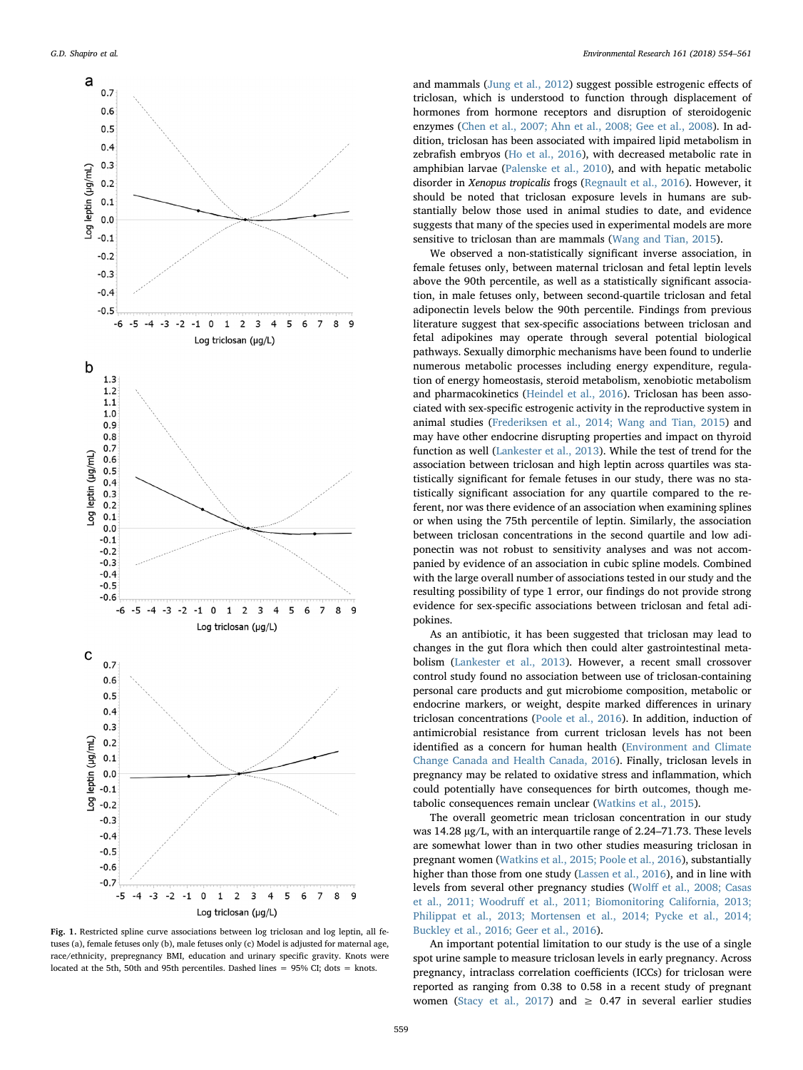<span id="page-5-0"></span>

Fig. 1. Restricted spline curve associations between log triclosan and log leptin, all fetuses (a), female fetuses only (b), male fetuses only (c) Model is adjusted for maternal age, race/ethnicity, prepregnancy BMI, education and urinary specific gravity. Knots were located at the 5th, 50th and 95th percentiles. Dashed lines  $= 95\%$  CI; dots  $=$  knots.

and mammals ([Jung et al., 2012](#page-7-20)) suggest possible estrogenic effects of triclosan, which is understood to function through displacement of hormones from hormone receptors and disruption of steroidogenic enzymes [\(Chen et al., 2007; Ahn et al., 2008; Gee et al., 2008\)](#page-6-19). In addition, triclosan has been associated with impaired lipid metabolism in zebrafish embryos [\(Ho et al., 2016\)](#page-6-20), with decreased metabolic rate in amphibian larvae [\(Palenske et al., 2010\)](#page-7-21), and with hepatic metabolic disorder in Xenopus tropicalis frogs ([Regnault et al., 2016](#page-7-22)). However, it should be noted that triclosan exposure levels in humans are substantially below those used in animal studies to date, and evidence suggests that many of the species used in experimental models are more sensitive to triclosan than are mammals [\(Wang and Tian, 2015](#page-7-5)).

We observed a non-statistically significant inverse association, in female fetuses only, between maternal triclosan and fetal leptin levels above the 90th percentile, as well as a statistically significant association, in male fetuses only, between second-quartile triclosan and fetal adiponectin levels below the 90th percentile. Findings from previous literature suggest that sex-specific associations between triclosan and fetal adipokines may operate through several potential biological pathways. Sexually dimorphic mechanisms have been found to underlie numerous metabolic processes including energy expenditure, regulation of energy homeostasis, steroid metabolism, xenobiotic metabolism and pharmacokinetics ([Heindel et al., 2016](#page-6-21)). Triclosan has been associated with sex-specific estrogenic activity in the reproductive system in animal studies [\(Frederiksen et al., 2014; Wang and Tian, 2015](#page-6-22)) and may have other endocrine disrupting properties and impact on thyroid function as well [\(Lankester et al., 2013\)](#page-7-2). While the test of trend for the association between triclosan and high leptin across quartiles was statistically significant for female fetuses in our study, there was no statistically significant association for any quartile compared to the referent, nor was there evidence of an association when examining splines or when using the 75th percentile of leptin. Similarly, the association between triclosan concentrations in the second quartile and low adiponectin was not robust to sensitivity analyses and was not accompanied by evidence of an association in cubic spline models. Combined with the large overall number of associations tested in our study and the resulting possibility of type 1 error, our findings do not provide strong evidence for sex-specific associations between triclosan and fetal adipokines.

As an antibiotic, it has been suggested that triclosan may lead to changes in the gut flora which then could alter gastrointestinal metabolism [\(Lankester et al., 2013](#page-7-2)). However, a recent small crossover control study found no association between use of triclosan-containing personal care products and gut microbiome composition, metabolic or endocrine markers, or weight, despite marked differences in urinary triclosan concentrations ([Poole et al., 2016](#page-7-23)). In addition, induction of antimicrobial resistance from current triclosan levels has not been identified as a concern for human health [\(Environment and Climate](#page-6-23) [Change Canada and Health Canada, 2016\)](#page-6-23). Finally, triclosan levels in pregnancy may be related to oxidative stress and inflammation, which could potentially have consequences for birth outcomes, though metabolic consequences remain unclear ([Watkins et al., 2015\)](#page-7-24).

The overall geometric mean triclosan concentration in our study was 14.28 µg/L, with an interquartile range of 2.24–71.73. These levels are somewhat lower than in two other studies measuring triclosan in pregnant women ([Watkins et al., 2015; Poole et al., 2016\)](#page-7-24), substantially higher than those from one study [\(Lassen et al., 2016](#page-7-16)), and in line with levels from several other pregnancy studies (Wolff [et al., 2008; Casas](#page-7-4) et al., 2011; Woodruff [et al., 2011; Biomonitoring California, 2013;](#page-7-4) [Philippat et al., 2013; Mortensen et al., 2014; Pycke et al., 2014;](#page-7-4) [Buckley et al., 2016; Geer et al., 2016\)](#page-7-4).

An important potential limitation to our study is the use of a single spot urine sample to measure triclosan levels in early pregnancy. Across pregnancy, intraclass correlation coefficients (ICCs) for triclosan were reported as ranging from 0.38 to 0.58 in a recent study of pregnant women ([Stacy et al., 2017\)](#page-7-25) and  $\geq$  0.47 in several earlier studies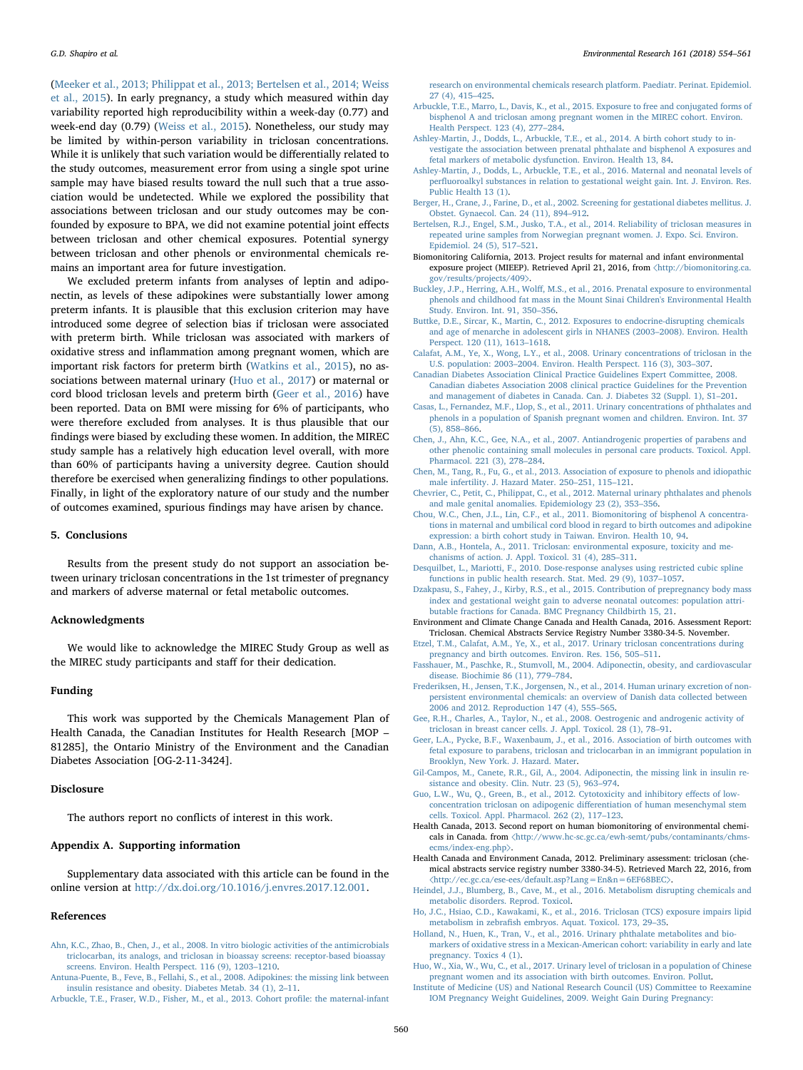([Meeker et al., 2013; Philippat et al., 2013; Bertelsen et al., 2014; Weiss](#page-7-26) [et al., 2015\)](#page-7-26). In early pregnancy, a study which measured within day variability reported high reproducibility within a week-day (0.77) and week-end day (0.79) [\(Weiss et al., 2015](#page-7-27)). Nonetheless, our study may be limited by within-person variability in triclosan concentrations. While it is unlikely that such variation would be differentially related to the study outcomes, measurement error from using a single spot urine sample may have biased results toward the null such that a true association would be undetected. While we explored the possibility that associations between triclosan and our study outcomes may be confounded by exposure to BPA, we did not examine potential joint effects between triclosan and other chemical exposures. Potential synergy between triclosan and other phenols or environmental chemicals remains an important area for future investigation.

We excluded preterm infants from analyses of leptin and adiponectin, as levels of these adipokines were substantially lower among preterm infants. It is plausible that this exclusion criterion may have introduced some degree of selection bias if triclosan were associated with preterm birth. While triclosan was associated with markers of oxidative stress and inflammation among pregnant women, which are important risk factors for preterm birth ([Watkins et al., 2015\)](#page-7-24), no associations between maternal urinary [\(Huo et al., 2017](#page-6-24)) or maternal or cord blood triclosan levels and preterm birth [\(Geer et al., 2016](#page-6-17)) have been reported. Data on BMI were missing for 6% of participants, who were therefore excluded from analyses. It is thus plausible that our findings were biased by excluding these women. In addition, the MIREC study sample has a relatively high education level overall, with more than 60% of participants having a university degree. Caution should therefore be exercised when generalizing findings to other populations. Finally, in light of the exploratory nature of our study and the number of outcomes examined, spurious findings may have arisen by chance.

# 5. Conclusions

Results from the present study do not support an association between urinary triclosan concentrations in the 1st trimester of pregnancy and markers of adverse maternal or fetal metabolic outcomes.

#### Acknowledgments

We would like to acknowledge the MIREC Study Group as well as the MIREC study participants and staff for their dedication.

#### Funding

This work was supported by the Chemicals Management Plan of Health Canada, the Canadian Institutes for Health Research [MOP – 81285], the Ontario Ministry of the Environment and the Canadian Diabetes Association [OG-2-11-3424].

#### Disclosure

The authors report no conflicts of interest in this work.

## Appendix A. Supporting information

Supplementary data associated with this article can be found in the online version at [http://dx.doi.org/10.1016/j.envres.2017.12.001.](http://dx.doi.org/10.1016/j.envres.2017.12.001)

#### References

<span id="page-6-19"></span>[Ahn, K.C., Zhao, B., Chen, J., et al., 2008. In vitro biologic activities of the antimicrobials](http://refhub.elsevier.com/S0013-9351(17)31433-0/sbref1) [triclocarban, its analogs, and triclosan in bioassay screens: receptor-based bioassay](http://refhub.elsevier.com/S0013-9351(17)31433-0/sbref1) [screens. Environ. Health Perspect. 116 \(9\), 1203](http://refhub.elsevier.com/S0013-9351(17)31433-0/sbref1)–1210.

<span id="page-6-6"></span>[Arbuckle, T.E., Fraser, W.D., Fisher, M., et al., 2013. Cohort pro](http://refhub.elsevier.com/S0013-9351(17)31433-0/sbref3)file: the maternal-infant

[research on environmental chemicals research platform. Paediatr. Perinat. Epidemiol.](http://refhub.elsevier.com/S0013-9351(17)31433-0/sbref3) [27 \(4\), 415](http://refhub.elsevier.com/S0013-9351(17)31433-0/sbref3)–425.

- <span id="page-6-7"></span>[Arbuckle, T.E., Marro, L., Davis, K., et al., 2015. Exposure to free and conjugated forms of](http://refhub.elsevier.com/S0013-9351(17)31433-0/sbref4) [bisphenol A and triclosan among pregnant women in the MIREC cohort. Environ.](http://refhub.elsevier.com/S0013-9351(17)31433-0/sbref4) [Health Perspect. 123 \(4\), 277](http://refhub.elsevier.com/S0013-9351(17)31433-0/sbref4)–284.
- <span id="page-6-14"></span>[Ashley-Martin, J., Dodds, L., Arbuckle, T.E., et al., 2014. A birth cohort study to in](http://refhub.elsevier.com/S0013-9351(17)31433-0/sbref5)[vestigate the association between prenatal phthalate and bisphenol A exposures and](http://refhub.elsevier.com/S0013-9351(17)31433-0/sbref5) [fetal markers of metabolic dysfunction. Environ. Health 13, 84.](http://refhub.elsevier.com/S0013-9351(17)31433-0/sbref5)
- <span id="page-6-9"></span>[Ashley-Martin, J., Dodds, L., Arbuckle, T.E., et al., 2016. Maternal and neonatal levels of](http://refhub.elsevier.com/S0013-9351(17)31433-0/sbref6) perfl[uoroalkyl substances in relation to gestational weight gain. Int. J. Environ. Res.](http://refhub.elsevier.com/S0013-9351(17)31433-0/sbref6) [Public Health 13 \(1\).](http://refhub.elsevier.com/S0013-9351(17)31433-0/sbref6)
- <span id="page-6-11"></span>[Berger, H., Crane, J., Farine, D., et al., 2002. Screening for gestational diabetes mellitus. J.](http://refhub.elsevier.com/S0013-9351(17)31433-0/sbref7) [Obstet. Gynaecol. Can. 24 \(11\), 894](http://refhub.elsevier.com/S0013-9351(17)31433-0/sbref7)–912.
- [Bertelsen, R.J., Engel, S.M., Jusko, T.A., et al., 2014. Reliability of triclosan measures in](http://refhub.elsevier.com/S0013-9351(17)31433-0/sbref8) [repeated urine samples from Norwegian pregnant women. J. Expo. Sci. Environ.](http://refhub.elsevier.com/S0013-9351(17)31433-0/sbref8) [Epidemiol. 24 \(5\), 517](http://refhub.elsevier.com/S0013-9351(17)31433-0/sbref8)–521.
- Biomonitoring California, 2013. Project results for maternal and infant environmental exposure project (MIEEP). Retrieved April 21, 2016, from 〈[http://biomonitoring.ca.](http://biomonitoring.ca.gov/results/projects/409) [gov/results/projects/409](http://biomonitoring.ca.gov/results/projects/409)〉.
- <span id="page-6-5"></span>Buckley, J.P., Herring, A.H., Wolff[, M.S., et al., 2016. Prenatal exposure to environmental](http://refhub.elsevier.com/S0013-9351(17)31433-0/sbref9) [phenols and childhood fat mass in the Mount Sinai Children's Environmental Health](http://refhub.elsevier.com/S0013-9351(17)31433-0/sbref9) [Study. Environ. Int. 91, 350](http://refhub.elsevier.com/S0013-9351(17)31433-0/sbref9)–356.
- <span id="page-6-18"></span>[Buttke, D.E., Sircar, K., Martin, C., 2012. Exposures to endocrine-disrupting chemicals](http://refhub.elsevier.com/S0013-9351(17)31433-0/sbref10) [and age of menarche in adolescent girls in NHANES \(2003](http://refhub.elsevier.com/S0013-9351(17)31433-0/sbref10)–2008). Environ. Health [Perspect. 120 \(11\), 1613](http://refhub.elsevier.com/S0013-9351(17)31433-0/sbref10)–1618.
- <span id="page-6-1"></span>[Calafat, A.M., Ye, X., Wong, L.Y., et al., 2008. Urinary concentrations of triclosan in the](http://refhub.elsevier.com/S0013-9351(17)31433-0/sbref11) U.S. population: 2003–[2004. Environ. Health Perspect. 116 \(3\), 303](http://refhub.elsevier.com/S0013-9351(17)31433-0/sbref11)–307.
- [Canadian Diabetes Association Clinical Practice Guidelines Expert Committee, 2008.](http://refhub.elsevier.com/S0013-9351(17)31433-0/sbref12) [Canadian diabetes Association 2008 clinical practice Guidelines for the Prevention](http://refhub.elsevier.com/S0013-9351(17)31433-0/sbref12) [and management of diabetes in Canada. Can. J. Diabetes 32 \(Suppl. 1\), S1](http://refhub.elsevier.com/S0013-9351(17)31433-0/sbref12)–201.
- [Casas, L., Fernandez, M.F., Llop, S., et al., 2011. Urinary concentrations of phthalates and](http://refhub.elsevier.com/S0013-9351(17)31433-0/sbref13) [phenols in a population of Spanish pregnant women and children. Environ. Int. 37](http://refhub.elsevier.com/S0013-9351(17)31433-0/sbref13) [\(5\), 858](http://refhub.elsevier.com/S0013-9351(17)31433-0/sbref13)–866.
- [Chen, J., Ahn, K.C., Gee, N.A., et al., 2007. Antiandrogenic properties of parabens and](http://refhub.elsevier.com/S0013-9351(17)31433-0/sbref14) [other phenolic containing small molecules in personal care products. Toxicol. Appl.](http://refhub.elsevier.com/S0013-9351(17)31433-0/sbref14) [Pharmacol. 221 \(3\), 278](http://refhub.elsevier.com/S0013-9351(17)31433-0/sbref14)–284.
- [Chen, M., Tang, R., Fu, G., et al., 2013. Association of exposure to phenols and idiopathic](http://refhub.elsevier.com/S0013-9351(17)31433-0/sbref15) [male infertility. J. Hazard Mater. 250](http://refhub.elsevier.com/S0013-9351(17)31433-0/sbref15)–251, 115–121.
- [Chevrier, C., Petit, C., Philippat, C., et al., 2012. Maternal urinary phthalates and phenols](http://refhub.elsevier.com/S0013-9351(17)31433-0/sbref16) [and male genital anomalies. Epidemiology 23 \(2\), 353](http://refhub.elsevier.com/S0013-9351(17)31433-0/sbref16)–356.
- <span id="page-6-13"></span>Chou, [W.C., Chen, J.L., Lin, C.F., et al., 2011. Biomonitoring of bisphenol A concentra](http://refhub.elsevier.com/S0013-9351(17)31433-0/sbref17)[tions in maternal and umbilical cord blood in regard to birth outcomes and adipokine](http://refhub.elsevier.com/S0013-9351(17)31433-0/sbref17) [expression: a birth cohort study in Taiwan. Environ. Health 10, 94.](http://refhub.elsevier.com/S0013-9351(17)31433-0/sbref17)
- <span id="page-6-3"></span>[Dann, A.B., Hontela, A., 2011. Triclosan: environmental exposure, toxicity and me](http://refhub.elsevier.com/S0013-9351(17)31433-0/sbref18)[chanisms of action. J. Appl. Toxicol. 31 \(4\), 285](http://refhub.elsevier.com/S0013-9351(17)31433-0/sbref18)–311.
- <span id="page-6-12"></span>[Desquilbet, L., Mariotti, F., 2010. Dose-response analyses using restricted cubic spline](http://refhub.elsevier.com/S0013-9351(17)31433-0/sbref19) [functions in public health research. Stat. Med. 29 \(9\), 1037](http://refhub.elsevier.com/S0013-9351(17)31433-0/sbref19)–1057.
- <span id="page-6-10"></span>[Dzakpasu, S., Fahey, J., Kirby, R.S., et al., 2015. Contribution of prepregnancy body mass](http://refhub.elsevier.com/S0013-9351(17)31433-0/sbref20) [index and gestational weight gain to adverse neonatal outcomes: population attri](http://refhub.elsevier.com/S0013-9351(17)31433-0/sbref20)[butable fractions for Canada. BMC Pregnancy Childbirth 15, 21.](http://refhub.elsevier.com/S0013-9351(17)31433-0/sbref20)
- <span id="page-6-23"></span>Environment and Climate Change Canada and Health Canada, 2016. Assessment Report: Triclosan. Chemical Abstracts Service Registry Number 3380-34-5. November.
- <span id="page-6-16"></span>[Etzel, T.M., Calafat, A.M., Ye, X., et al., 2017. Urinary triclosan concentrations during](http://refhub.elsevier.com/S0013-9351(17)31433-0/sbref21) [pregnancy and birth outcomes. Environ. Res. 156, 505](http://refhub.elsevier.com/S0013-9351(17)31433-0/sbref21)–511.
- <span id="page-6-15"></span>[Fasshauer, M., Paschke, R., Stumvoll, M., 2004. Adiponectin, obesity, and cardiovascular](http://refhub.elsevier.com/S0013-9351(17)31433-0/sbref22) [disease. Biochimie 86 \(11\), 779](http://refhub.elsevier.com/S0013-9351(17)31433-0/sbref22)–784.
- <span id="page-6-22"></span>[Frederiksen, H., Jensen, T.K., Jorgensen, N., et al., 2014. Human urinary excretion of non](http://refhub.elsevier.com/S0013-9351(17)31433-0/sbref23)[persistent environmental chemicals: an overview of Danish data collected between](http://refhub.elsevier.com/S0013-9351(17)31433-0/sbref23) [2006 and 2012. Reproduction 147 \(4\), 555](http://refhub.elsevier.com/S0013-9351(17)31433-0/sbref23)–565.
- [Gee, R.H., Charles, A., Taylor, N., et al., 2008. Oestrogenic and androgenic activity of](http://refhub.elsevier.com/S0013-9351(17)31433-0/sbref24) [triclosan in breast cancer cells. J. Appl. Toxicol. 28 \(1\), 78](http://refhub.elsevier.com/S0013-9351(17)31433-0/sbref24)–91.
- <span id="page-6-17"></span>[Geer, L.A., Pycke, B.F., Waxenbaum, J., et al., 2016. Association of birth outcomes with](http://refhub.elsevier.com/S0013-9351(17)31433-0/sbref25) [fetal exposure to parabens, triclosan and triclocarban in an immigrant population in](http://refhub.elsevier.com/S0013-9351(17)31433-0/sbref25) [Brooklyn, New York. J. Hazard. Mater.](http://refhub.elsevier.com/S0013-9351(17)31433-0/sbref25)
- [Gil-Campos, M., Canete, R.R., Gil, A., 2004. Adiponectin, the missing link in insulin re](http://refhub.elsevier.com/S0013-9351(17)31433-0/sbref26)[sistance and obesity. Clin. Nutr. 23 \(5\), 963](http://refhub.elsevier.com/S0013-9351(17)31433-0/sbref26)–974.
- <span id="page-6-4"></span>[Guo, L.W., Wu, Q., Green, B., et al., 2012. Cytotoxicity and inhibitory e](http://refhub.elsevier.com/S0013-9351(17)31433-0/sbref27)ffects of lowconcentration triclosan on adipogenic diff[erentiation of human mesenchymal stem](http://refhub.elsevier.com/S0013-9351(17)31433-0/sbref27) [cells. Toxicol. Appl. Pharmacol. 262 \(2\), 117](http://refhub.elsevier.com/S0013-9351(17)31433-0/sbref27)–123.
- <span id="page-6-2"></span>Health Canada, 2013. Second report on human biomonitoring of environmental chemicals in Canada. from 〈[http://www.hc-sc.gc.ca/ewh-semt/pubs/contaminants/chms](http://www.hc-sc.gc.ca/ewh-semt/pubs/contaminants/chms-ecms/index-eng.php)[ecms/index-eng.php](http://www.hc-sc.gc.ca/ewh-semt/pubs/contaminants/chms-ecms/index-eng.php)〉.
- <span id="page-6-0"></span>Health Canada and Environment Canada, 2012. Preliminary assessment: triclosan (chemical abstracts service registry number 3380-34-5). Retrieved March 22, 2016, from 〈<http://ec.gc.ca/ese-ees/default.asp?Lang=En&n=6EF68BEC>〉.
- <span id="page-6-21"></span>[Heindel, J.J., Blumberg, B., Cave, M., et al., 2016. Metabolism disrupting chemicals and](http://refhub.elsevier.com/S0013-9351(17)31433-0/sbref28) [metabolic disorders. Reprod. Toxicol](http://refhub.elsevier.com/S0013-9351(17)31433-0/sbref28).
- <span id="page-6-20"></span>[Ho, J.C., Hsiao, C.D., Kawakami, K., et al., 2016. Triclosan \(TCS\) exposure impairs lipid](http://refhub.elsevier.com/S0013-9351(17)31433-0/sbref29) metabolism in zebrafi[sh embryos. Aquat. Toxicol. 173, 29](http://refhub.elsevier.com/S0013-9351(17)31433-0/sbref29)–35.
- [Holland, N., Huen, K., Tran, V., et al., 2016. Urinary phthalate metabolites and bio](http://refhub.elsevier.com/S0013-9351(17)31433-0/sbref30)[markers of oxidative stress in a Mexican-American cohort: variability in early and late](http://refhub.elsevier.com/S0013-9351(17)31433-0/sbref30) [pregnancy. Toxics 4 \(1\)](http://refhub.elsevier.com/S0013-9351(17)31433-0/sbref30).
- <span id="page-6-24"></span>[Huo, W., Xia, W., Wu, C., et al., 2017. Urinary level of triclosan in a population of Chinese](http://refhub.elsevier.com/S0013-9351(17)31433-0/sbref31) [pregnant women and its association with birth outcomes. Environ. Pollut.](http://refhub.elsevier.com/S0013-9351(17)31433-0/sbref31)
- <span id="page-6-8"></span>[Institute of Medicine \(US\) and National Research Council \(US\) Committee to Reexamine](http://refhub.elsevier.com/S0013-9351(17)31433-0/sbref32) [IOM Pregnancy Weight Guidelines, 2009. Weight Gain During Pregnancy:](http://refhub.elsevier.com/S0013-9351(17)31433-0/sbref32)